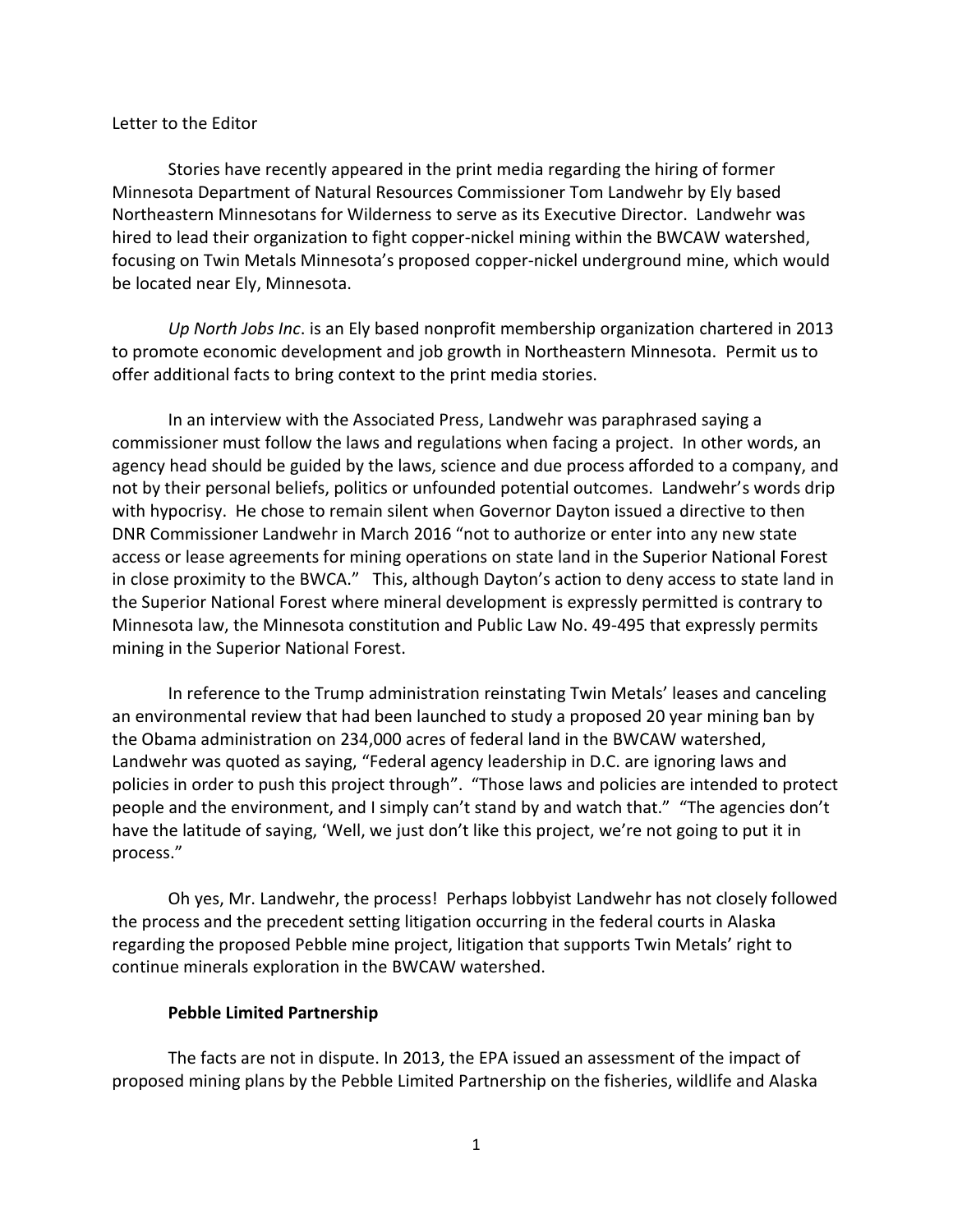## Letter to the Editor

Stories have recently appeared in the print media regarding the hiring of former Minnesota Department of Natural Resources Commissioner Tom Landwehr by Ely based Northeastern Minnesotans for Wilderness to serve as its Executive Director. Landwehr was hired to lead their organization to fight copper-nickel mining within the BWCAW watershed, focusing on Twin Metals Minnesota's proposed copper-nickel underground mine, which would be located near Ely, Minnesota.

*Up North Jobs Inc*. is an Ely based nonprofit membership organization chartered in 2013 to promote economic development and job growth in Northeastern Minnesota. Permit us to offer additional facts to bring context to the print media stories.

In an interview with the Associated Press, Landwehr was paraphrased saying a commissioner must follow the laws and regulations when facing a project. In other words, an agency head should be guided by the laws, science and due process afforded to a company, and not by their personal beliefs, politics or unfounded potential outcomes. Landwehr's words drip with hypocrisy. He chose to remain silent when Governor Dayton issued a directive to then DNR Commissioner Landwehr in March 2016 "not to authorize or enter into any new state access or lease agreements for mining operations on state land in the Superior National Forest in close proximity to the BWCA." This, although Dayton's action to deny access to state land in the Superior National Forest where mineral development is expressly permitted is contrary to Minnesota law, the Minnesota constitution and Public Law No. 49-495 that expressly permits mining in the Superior National Forest.

In reference to the Trump administration reinstating Twin Metals' leases and canceling an environmental review that had been launched to study a proposed 20 year mining ban by the Obama administration on 234,000 acres of federal land in the BWCAW watershed, Landwehr was quoted as saying, "Federal agency leadership in D.C. are ignoring laws and policies in order to push this project through". "Those laws and policies are intended to protect people and the environment, and I simply can't stand by and watch that." "The agencies don't have the latitude of saying, 'Well, we just don't like this project, we're not going to put it in process."

Oh yes, Mr. Landwehr, the process! Perhaps lobbyist Landwehr has not closely followed the process and the precedent setting litigation occurring in the federal courts in Alaska regarding the proposed Pebble mine project, litigation that supports Twin Metals' right to continue minerals exploration in the BWCAW watershed.

## **Pebble Limited Partnership**

The facts are not in dispute. In 2013, the EPA issued an assessment of the impact of proposed mining plans by the Pebble Limited Partnership on the fisheries, wildlife and Alaska